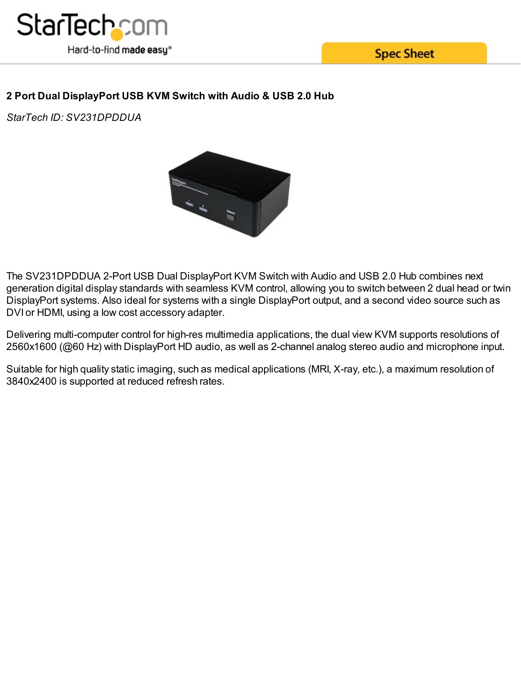

**Spec Sheet** 

# **2 Port Dual DisplayPort USB KVM Switch with Audio & USB 2.0 Hub**

*StarTech ID: SV231DPDDUA*



The SV231DPDDUA 2-Port USB Dual DisplayPort KVM Switch with Audio and USB 2.0 Hub combines next generation digital display standards with seamless KVM control, allowing you to switch between 2 dual head or twin DisplayPort systems. Also ideal for systems with a single DisplayPort output, and a second video source such as DVI or HDMI, using a low cost accessory adapter.

Delivering multi-computer control for high-res multimedia applications, the dual view KVM supports resolutions of 2560x1600 (@60 Hz) with DisplayPort HD audio, as well as 2-channel analog stereo audio and microphone input.

Suitable for high quality static imaging, such as medical applications (MRI, X-ray, etc.), a maximum resolution of 3840x2400 is supported at reduced refresh rates.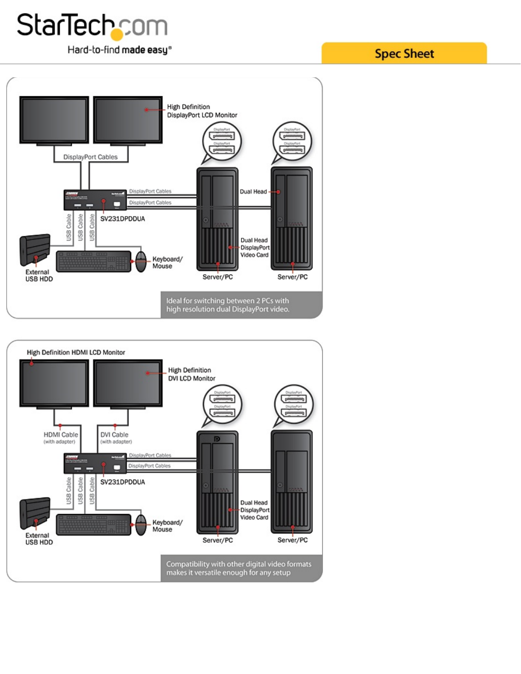

**Spec Sheet** 



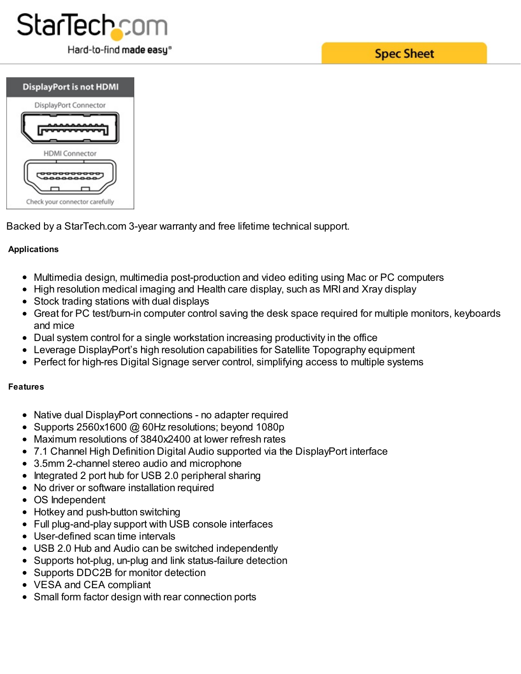



Backed by a StarTech.com 3-year warranty and free lifetime technical support.

## **Applications**

- Multimedia design, multimedia post-production and video editing using Mac or PC computers
- High resolution medical imaging and Health care display, such as MRI and Xray display
- Stock trading stations with dual displays
- Great for PC test/burn-in computer control saving the desk space required for multiple monitors, keyboards and mice
- Dual system control for a single workstation increasing productivity in the office
- Leverage DisplayPort's high resolution capabilities for Satellite Topography equipment
- Perfect for high-res Digital Signage server control, simplifying access to multiple systems

## **Features**

- Native dual DisplayPort connections no adapter required
- Supports 2560x1600 @ 60Hz resolutions; beyond 1080p
- Maximum resolutions of 3840x2400 at lower refresh rates
- 7.1 Channel High Definition Digital Audio supported via the DisplayPort interface
- 3.5mm 2-channel stereo audio and microphone
- Integrated 2 port hub for USB 2.0 peripheral sharing
- No driver or software installation required
- OS Independent
- Hotkey and push-button switching
- Full plug-and-play support with USB console interfaces
- User-defined scan time intervals
- USB 2.0 Hub and Audio can be switched independently
- Supports hot-plug, un-plug and link status-failure detection
- Supports DDC2B for monitor detection
- VESA and CEA compliant
- Small form factor design with rear connection ports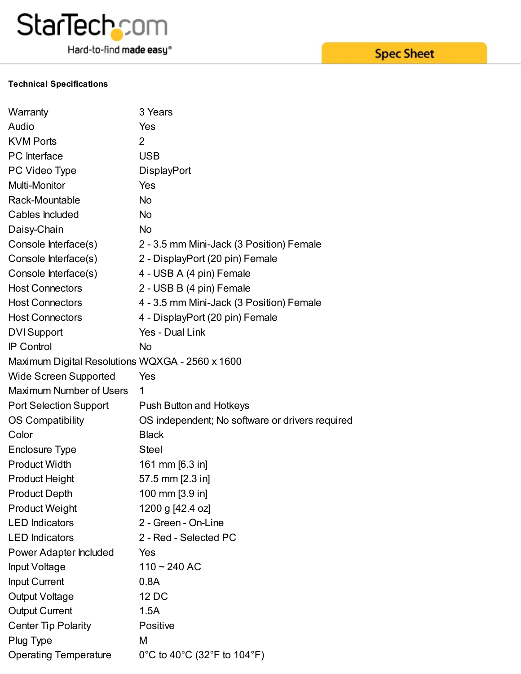

#### **Technical Specifications**

| Warranty                                        | 3 Years                                         |
|-------------------------------------------------|-------------------------------------------------|
| Audio                                           | Yes                                             |
| <b>KVM Ports</b>                                | $\overline{2}$                                  |
| PC Interface                                    | <b>USB</b>                                      |
| PC Video Type                                   | <b>DisplayPort</b>                              |
| Multi-Monitor                                   | Yes                                             |
| Rack-Mountable                                  | <b>No</b>                                       |
| Cables Included                                 | <b>No</b>                                       |
| Daisy-Chain                                     | <b>No</b>                                       |
| Console Interface(s)                            | 2 - 3.5 mm Mini-Jack (3 Position) Female        |
| Console Interface(s)                            | 2 - DisplayPort (20 pin) Female                 |
| Console Interface(s)                            | 4 - USB A (4 pin) Female                        |
| <b>Host Connectors</b>                          | 2 - USB B (4 pin) Female                        |
| <b>Host Connectors</b>                          | 4 - 3.5 mm Mini-Jack (3 Position) Female        |
| <b>Host Connectors</b>                          | 4 - DisplayPort (20 pin) Female                 |
| <b>DVI</b> Support                              | Yes - Dual Link                                 |
| <b>IP Control</b>                               | <b>No</b>                                       |
| Maximum Digital Resolutions WQXGA - 2560 x 1600 |                                                 |
| <b>Wide Screen Supported</b>                    | Yes                                             |
| <b>Maximum Number of Users</b>                  | 1                                               |
| <b>Port Selection Support</b>                   | <b>Push Button and Hotkeys</b>                  |
| <b>OS Compatibility</b>                         | OS independent; No software or drivers required |
| Color                                           | <b>Black</b>                                    |
| <b>Enclosure Type</b>                           | <b>Steel</b>                                    |
| <b>Product Width</b>                            | 161 mm [6.3 in]                                 |
| <b>Product Height</b>                           | 57.5 mm [2.3 in]                                |
| <b>Product Depth</b>                            | 100 mm [3.9 in]                                 |
| <b>Product Weight</b>                           | 1200 g [42.4 oz]                                |
| <b>LED</b> Indicators                           | 2 - Green - On-Line                             |
| <b>LED</b> Indicators                           | 2 - Red - Selected PC                           |
| Power Adapter Included                          | Yes                                             |
| <b>Input Voltage</b>                            | $110 - 240$ AC                                  |
| <b>Input Current</b>                            | 0.8A                                            |
| Output Voltage                                  | 12 DC                                           |
| <b>Output Current</b>                           | 1.5A                                            |
| <b>Center Tip Polarity</b>                      | Positive                                        |
| Plug Type                                       | M                                               |
| <b>Operating Temperature</b>                    | 0°C to 40°C (32°F to 104°F)                     |